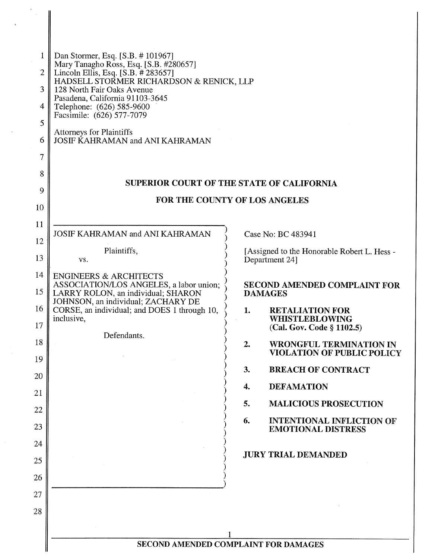| 1              | Dan Stormer, Esq. [S.B. #101967]                                                                                                                                                                                                                     |                                     |                                                                     |  |  |
|----------------|------------------------------------------------------------------------------------------------------------------------------------------------------------------------------------------------------------------------------------------------------|-------------------------------------|---------------------------------------------------------------------|--|--|
| $\overline{2}$ | Mary Tanagho Ross, Esq. [S.B. #280657]<br>Lincoln Ellis, Esq. [S.B. # 283657]<br>HADSELL STORMER RICHARDSON & RENICK, LLP<br>128 North Fair Oaks Avenue<br>Pasadena, California 91103-3645<br>Telephone: (626) 585-9600<br>Facsimile: (626) 577-7079 |                                     |                                                                     |  |  |
| 3              |                                                                                                                                                                                                                                                      |                                     |                                                                     |  |  |
| 4              |                                                                                                                                                                                                                                                      |                                     |                                                                     |  |  |
| 5              | <b>Attorneys for Plaintiffs</b>                                                                                                                                                                                                                      |                                     |                                                                     |  |  |
| 6              | JOSIF KAHRAMAN and ANI KAHRAMAN                                                                                                                                                                                                                      |                                     |                                                                     |  |  |
| 7              |                                                                                                                                                                                                                                                      |                                     |                                                                     |  |  |
| 8              | <b>SUPERIOR COURT OF THE STATE OF CALIFORNIA</b><br>FOR THE COUNTY OF LOS ANGELES                                                                                                                                                                    |                                     |                                                                     |  |  |
| 9              |                                                                                                                                                                                                                                                      |                                     |                                                                     |  |  |
| 10             |                                                                                                                                                                                                                                                      |                                     |                                                                     |  |  |
| 11             | <b>JOSIF KAHRAMAN and ANI KAHRAMAN</b>                                                                                                                                                                                                               |                                     | Case No: BC 483941                                                  |  |  |
| 12             | Plaintiffs,                                                                                                                                                                                                                                          |                                     | [Assigned to the Honorable Robert L. Hess -                         |  |  |
| 13             | VS.                                                                                                                                                                                                                                                  |                                     | Department 24]                                                      |  |  |
| 14             | <b>ENGINEERS &amp; ARCHITECTS</b><br>ASSOCIATION/LOS ANGELES, a labor union;                                                                                                                                                                         | <b>SECOND AMENDED COMPLAINT FOR</b> |                                                                     |  |  |
| 15             | LARRY ROLON, an individual; SHARON<br>JOHNSON, an individual; ZACHARY DE                                                                                                                                                                             |                                     | <b>DAMAGES</b>                                                      |  |  |
| 16<br>17       | CORSE, an individual; and DOES 1 through 10,<br>inclusive,                                                                                                                                                                                           | 1.                                  | <b>RETALIATION FOR</b><br>WHISTLEBLOWING                            |  |  |
| 18             | Defendants.                                                                                                                                                                                                                                          |                                     | (Cal. Gov. Code § 1102.5)                                           |  |  |
| 19             |                                                                                                                                                                                                                                                      | 2.                                  | <b>WRONGFUL TERMINATION IN</b><br><b>VIOLATION OF PUBLIC POLICY</b> |  |  |
| 20             |                                                                                                                                                                                                                                                      | 3.                                  | <b>BREACH OF CONTRACT</b>                                           |  |  |
| 21             |                                                                                                                                                                                                                                                      | 4.                                  | <b>DEFAMATION</b>                                                   |  |  |
| 22             |                                                                                                                                                                                                                                                      | 5.                                  | <b>MALICIOUS PROSECUTION</b>                                        |  |  |
| 23             |                                                                                                                                                                                                                                                      | 6.                                  | <b>INTENTIONAL INFLICTION OF</b><br><b>EMOTIONAL DISTRESS</b>       |  |  |
| 24             |                                                                                                                                                                                                                                                      |                                     |                                                                     |  |  |
| 25             |                                                                                                                                                                                                                                                      |                                     | <b>JURY TRIAL DEMANDED</b>                                          |  |  |
| 26             |                                                                                                                                                                                                                                                      |                                     |                                                                     |  |  |
| 27             |                                                                                                                                                                                                                                                      |                                     |                                                                     |  |  |
| 28             |                                                                                                                                                                                                                                                      |                                     |                                                                     |  |  |
|                |                                                                                                                                                                                                                                                      |                                     |                                                                     |  |  |
|                | SECOND AMENDED COMPLAINT FOR DAMAGES                                                                                                                                                                                                                 |                                     |                                                                     |  |  |

 $\sim 10$ 

 $\sim$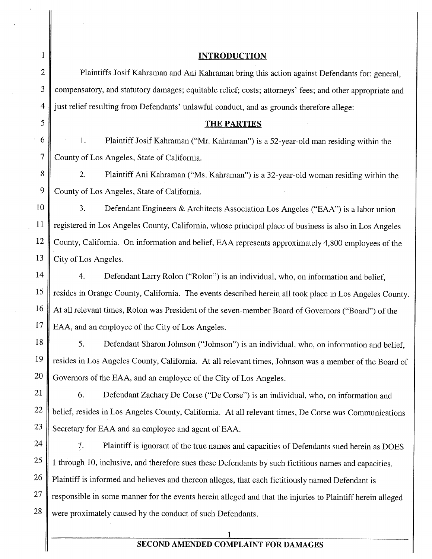1 || INTRODUCTION 2 **Plaintiffs Josif Kahraman and Ani Kahraman bring this action against Defendants for: general,** 3 compensatory, and statutory damages; equitable relief; costs; attorneys' fees; and other appropriate and 4 iust relief resulting from Defendants' unlawful conduct, and as grounds therefore allege:  $5 \parallel$  THE PARTIES 6  $\parallel$  1. Plaintiff Josif Kahraman ("Mr. Kahraman") is a 52-year-old man residing within the 7 County of Los Angeles, State of California. 8 2. Plaintiff Ani Kahraman ("Ms. Kahraman") is a 32-year-old woman residing within the 9 County of Los Angeles, State of California. 10 3. Defendant Engineers & Architects Association Los Angeles ("EAA") is a labor union 11 | registered in Los Angeles County, California, whose principal place of business is also in Los Angeles 12 County, California. On information and belief, EAA represents approximately 4,800 employees of the 13  $\parallel$  City of Los Angeles. 14 | 4. Defendant Larry Rolon ("Rolon") is an individual, who, on information and belief, 15 | resides in Orange County, California. The events described herein all took place in Los Angeles County. 16 At all relevant times, Rolon was President of the seven-member Board of Governors ("Board") of the 17 EAA, and an employee of the City of Los Angeles. 18 5. Defendant Sharon Johnson ("Johnson") is an individual, who, on information and belief, <sup>19</sup> resides in Los Angeles County, California. At all relevant times, Johnson was a member of the Board of  $20 \parallel$  Governors of the EAA, and an employee of the City of Los Angeles. 21 6. Defendant Zachary De Corse ("De Corse") is an individual, who, on information and

22 belief, resides in Los Angeles County, California. At all relevant times, De Corse was Communications  $23$  Secretary for EAA and an employee and agent of EAA.

 $24 \parallel$  7. Plaintiff is ignorant of the true names and capacities of Defendants sued herein as DOES  $25 \parallel$  1 through 10, inclusive, and therefore sues these Defendants by such fictitious names and capacities. 26 | Plaintiff is informed and believes and thereon alleges, that each fictitiously named Defendant is  $27$  responsible in some manner for the events herein alleged and that the injuries to Plaintiff herein alleged  $28 \parallel$  were proximately caused by the conduct of such Defendants.

# SECOND AMENDED COMPLAINT FOR DAMAGES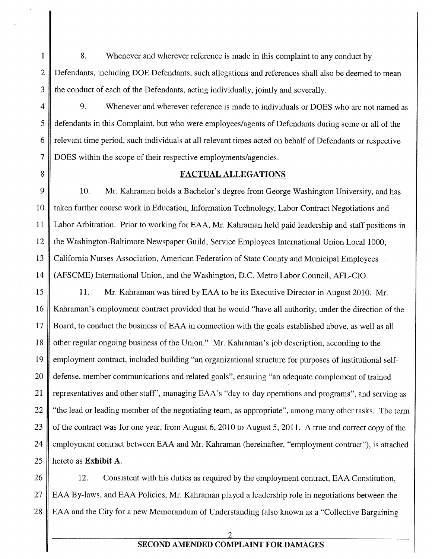1 8. Whenever and wherever reference is made in this complaint to any conduct by 2 Defendants, including DOE Defendants, such allegations and references shall also be deemed to mean 3 the conduct of each of the Defendants, acting individually, jointly and severally.

4 9. Whenever and wherever reference is made to individuals or DOES who are not named as <sup>5</sup> defendants in this Complaint, but who were employees/agents of Defendants during some or all of the 6 relevant time period, such individuals at all relevant times acted on behalf of Defendants or respective 7 DOES within the scope of their respective employments/agencies.

<sup>8</sup> FACTUAL ALLEGATIONS

9 10. Mr. Kahraman holds a Bachelor's degree from George Washington University, and has 10 I taken further course work in Education, Information Technology, Labor Contract Negotiations and 11 Labor Arbitration. Prior to working for EAA, Mr. Kahraman held paid leadership and staff positions in 12 the Washington-Baltimore Newspaper Guild, Service Employees International Union Local 1000, 13 California Nurses Association, American Federation of State County and Municipal Employees 14 (AFSCME) International Union, and the Washington, D.C. Metro Labor Council, AFL-CIO.

15 || 11. Mr. Kahraman was hired by EAA to be its Executive Director in August 2010. Mr. 16 Kahraman's employment contract provided that he would "have all authority, under the direction of the 17 Board, to conduct the business of EAA in connection with the goals established above, as well as all 18 | other regular ongoing business of the Union." Mr. Kahraman's job description, according to the 19 employment contract, included building "an organizational structure for purposes of institutional self-20 defense, member communications and related goals", ensuring "an adequate complement of trained 21 general end other staff', managing EAA's "day-to-day operations and programs", and serving as 22  $\parallel$  "the lead or leading member of the negotiating team, as appropriate", among many other tasks. The term 23  $\parallel$  of the contract was for one year, from August 6, 2010 to August 5, 2011. A true and correct copy of the 24 employment contract between EAA and Mr. Kahraman (hereinafter, "employment contract"), is attached 25  $\parallel$  hereto as **Exhibit A**.

26 12. Consistent with his duties as required by the employment contract, EAA Constitution, 27 | EAA By-laws, and EAA Policies, Mr. Kahraman played a leadership role in negotiations between the 28 EAA and the City for a new Memorandum of Understanding (also known as a "Collective Bargaining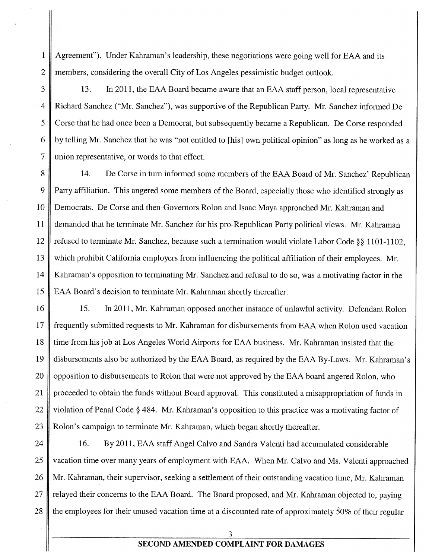<sup>1</sup> Agreement"). Under Kahraman's leadership, these negotiations were going well for EAA and its 2 members, considering the overall City of Los Angeles pessimistic budget outlook.

3 13. In 2011, the EAA Board became aware that an EAA staff person, local representative 4 Richard Sanchez ("Mr. Sanchez"), was supportive of the Republican Party. Mr. Sanchez informed De 5 Corse that he had once been a Democrat, but subsequently became a Republican. De Corse responded 6 by telling Mr. Sanchez that he was "not entitled to [his] own political opinion" as long as he worked as a 7 union representative, or words to that effect.

8 14. De Corse in turn informed some members of the EAA Board of Mr. Sanchez' Republican Party affiliation. This angered some members of the Board, especially those who identified strongly as Democrats. De Corse and then-Governors Rolon and Isaac Maya approached Mr. Kahraman and demanded that he terminate Mr. Sanchez for his pro-Republican Party political views. Mr. Kahraman 12 refused to terminate Mr. Sanchez, because such a termination would violate Labor Code § \$1101-1102, which prohibit California employers from influencing the political affiliation of their employees. Mr. Kahraman's opposition to terminating Mr. Sanchez and refusal to do so, was a motivating factor in the EAA Board's decision to terminate Mr. Kahraman shortly thereafter.

16 || 15. In 2011, Mr. Kahraman opposed another instance of unlawful activity. Defendant Rolon 17 frequently submitted requests to Mr. Kahraman for disbursements from EAA when Rolon used vacation 18 time from his job at Los Angeles World Airports for EAA business. Mr. Kahraman insisted that the 19 disbursements also be authorized by the EAA Board, as required by the EAA By-Laws. Mr. Kahraman's 20 || opposition to disbursements to Rolon that were not approved by the EAA board angered Rolon, who 21 proceeded to obtain the funds without Board approval. This constituted a misappropriation of funds in 22 violation of Penal Code § 484. Mr. Kahraman's opposition to this practice was a motivating factor of 23 | Rolon's campaign to terminate Mr. Kahraman, which began shortly thereafter.

24 | 16. By 2011, EAA staff Angel Calvo and Sandra Valenti had accumulated considerable 25 | vacation time over many years of employment with EAA. When Mr. Calvo and Ms. Valenti approached 26 Mr. Kahraman, their supervisor, seeking a settlement of their outstanding vacation time, Mr. Kahraman 27  $\parallel$  relayed their concerns to the EAA Board. The Board proposed, and Mr. Kahraman objected to, paying 28 the employees for their unused vacation time at a discounted rate of approximately  $50\%$  of their regular

3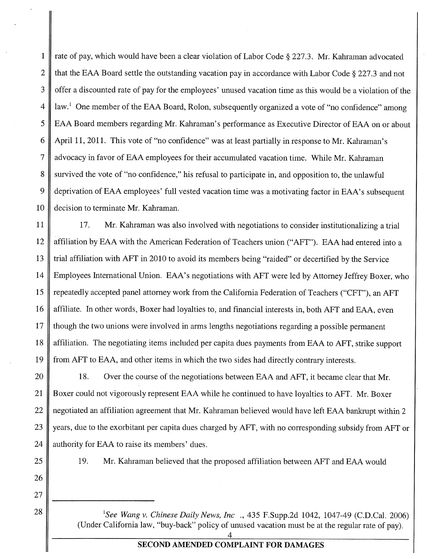<sup>1</sup> rate of pay, which would have been a clear violation of Labor Code § 227.3. Mr. Kabraman advocated 2  $\parallel$  that the EAA Board settle the outstanding vacation pay in accordance with Labor Code § 227.3 and not 3 offer a discounted rate of pay for the employees' unused vacation time as this would be a violation of the  $4 \parallel \text{law}$ . One member of the EAA Board, Rolon, subsequently organized a vote of "no confidence" among <sup>5</sup> EAA Board members regarding Mr. Kahraman's performance as Executive Director of EAA on or about 6 April 11, 2011. This vote of "no confidence" was at least partially in response to Mr. Kahraman's 7 advocacy in favor of EAA employees for their accumulated vacation time. While Mr. Kahraman 8 survived the vote of "no confidence," his refusal to participate in, and opposition to, the unlawful 9 deprivation of EAA employees' full vested vacation time was a motivating factor in EAA's subsequent 10 decision to terminate Mr. Kahraman.

 17. Mr. Kahraman was also involved with negotiations to consider institutionalizing a trial affiliation by EAA with the American Federation of Teachers union ("AFT"). EAA had entered into a trial affiliation with AFT in 2010 to avoid its members being "raided" or decertified by the Service Employees International Union. EAA's negotiations with AFT were led by Attorney Jeffrey Boxer, who 15 Tepeatedly accepted panel attorney work from the California Federation of Teachers ("CFT"), an AFT 16 affiliate. In other words, Boxer had loyalties to, and financial interests in, both AFT and EAA, even 17 though the two unions were involved in arms lengths negotiations regarding a possible permanent affiliation. The negotiating items included per capita dues payments from EAA to AFT, strike support from AFT to EAA, and other items in which the two sides had directly contrary interests.

20 18. Over the course of the negotiations between EAA and AFT, it became clear that Mr. 21 Boxer could not vigorously represent EAA while he continued to have loyalties to AFT. Mr. Boxer 22 | negotiated an affiliation agreement that Mr. Kahraman believed would have left EAA bankrupt within 2 23 years, due to the exorbitant per capita dues charged by AFT, with no corresponding subsidy from AFT or 24  $\parallel$  authority for EAA to raise its members' dues.

26

27

25 || 19. Mr. Kahraman believed that the proposed affiliation between AFT and EAA would

28  $\parallel$  <sup>1</sup>See Wang v. Chinese Daily News, Inc ., 435 F.Supp.2d 1042, 1047-49 (C.D.Cal. 2006) (Under California law, "buy-back" policy of unused vacation must be at the regular rate of pay).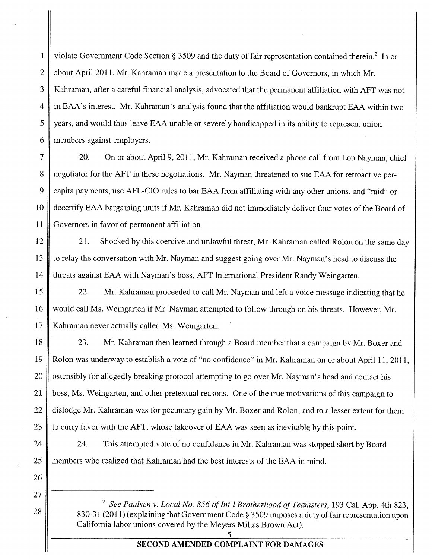1<br>about April 2011. Mr. Kahraman made a presentation to the Board of Governors, in which Mr 2 about April 2011, Mr. Kahraman made a presentation to the Board of Governors, in which Mr. 3 Kahraman, after a careful financial analysis, advocated that the permanent affiliation with AFT was not 4 in EAA's interest. Mr. Kahraman's analysis found that the affiliation would bankrupt EAA within two  $5 \parallel$  years, and would thus leave EAA unable or severely handicapped in its ability to represent union 6 members against employers.

7 20. On or about April 9, 2011, Mr. Kahraman received a phone call from Lou Nayman, chief 8 negotiator for the AFT in these negotiations. Mr. Nayman threatened to sue EAA for retroactive per-9 capita payments, use AFL-CIO rules to bar EAA from affiliating with any other unions, and "raid" or 10 decertify EAA bargaining units if Mr. Kahraman did not immediately deliver four votes of the Board of 11 Governors in favor of permanent affiliation.

12 21. Shocked by this coercive and unlawful threat, Mr. Kahraman called Rolon on the same day 13 to relay the conversation with Mr. Nayman and suggest going over Mr. Nayman's head to discuss the 14 threats against EAA with Nayman's boss, AFT International President Randy Weingarten.

15 22. Mr. Kahraman proceeded to call Mr. Nayman and left a voice message indicating that he 16 would call Ms. Weingarten if Mr. Nayman attempted to follow through on his threats. However, Mr. 17 | Kahraman never actually called Ms. Weingarten.

18 23. Mr. Kahraman then learned through a Board member that a campaign by Mr. Boxer and 19 Rolon was underway to establish a vote of "no confidence" in Mr. Kahraman on or about April 11, 2011, 20 Stensibly for allegedly breaking protocol attempting to go over Mr. Nayman's head and contact his 21 boss, Ms. Weingarten, and other pretextual reasons. One of the true motivations of this campaign to 22 dislodge Mr. Kahraman was for pecuniary gain by Mr. Boxer and Rolon, and to a lesser extent for them 23 to curry favor with the AFT, whose takeover of EAA was seen as inevitable by this point.

24 24. This attempted vote of no confidence in Mr. Kahraman was stopped short by Board 25 members who realized that Kahraman had the best interests of the FAA in mind.

<sup>2</sup> See Paulsen v. Local No. 856 of Int'l Brotherhood of Teamsters, 193 Cal. App. 4th 823, 830-31 (2011) (explaining that Government Code § 3509 imposes a duty of fair representation upon California labor unions covered by the Meyers Milias Brown Act).

> 5 SECOND AMENDED COMPLAINT FOR DAMAGES

26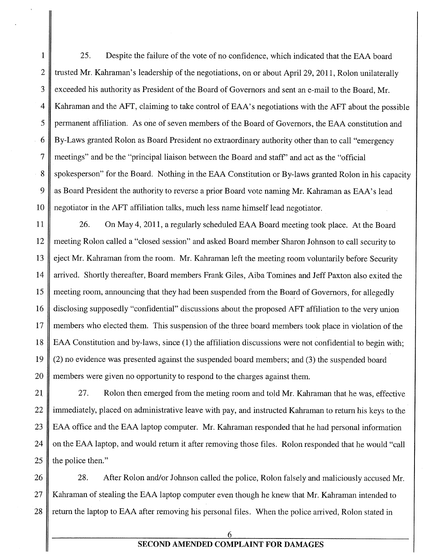1 25. Despite the failure of the vote of no confidence, which indicated that the EAA board 2 Trusted Mr. Kahraman's leadership of the negotiations, on or about April 29, 2011, Rolon unilaterally 3 exceeded his authority as President of the Board of Governors and sent an e-mail to the Board, Mr. 4 Kahraman and the AFT, claiming to take control of EAA's negotiations with the AFT about the possible <sup>5</sup> permanent affiliation. As one of seven members of the Board of Governors, the EAA constitution and 6 By-Laws granted Rolon as Board President no extraordinary authority other than to call "emergency 7 meetings" and be the "principal liaison between the Board and staff' and act as the "official 8 Support 8 Support 8 Spokesperson" for the Board. Nothing in the EAA Constitution or By-laws granted Rolon in his capacity 9 as Board President the authority to reverse a prior Board vote naming Mr. Kahraman as EAA's lead 10 negotiator in the AFT affiliation talks, much less name himself lead negotiator.

11 26. On May 4, 2011, a regularly scheduled EAA Board meeting took place. At the Board meeting Rolon called a "closed session" and asked Board member Sharon Johnson to call security to eject Mr. Kahraman from the room. Mr. Kahraman left the meeting room voluntarily before Security arrived. Shortly thereafter, Board members Frank Giles, Aiba Tomines and Jeff Paxton also exited the 15 || meeting room, announcing that they had been suspended from the Board of Governors, for allegedly disclosing supposedly "confidential" discussions about the proposed AFT affiliation to the very union members who elected them. This suspension of the three board members took place in violation of the EAA Constitution and by-laws, since (1) the affiliation discussions were not confidential to begin with;  $\parallel$  (2) no evidence was presented against the suspended board members; and (3) the suspended board members were given no opportunity to respond to the charges against them.

21 **27.** Rolon then emerged from the meting room and told Mr. Kahraman that he was, effective 22 | immediately, placed on administrative leave with pay, and instructed Kahraman to return his keys to the 23 EAA office and the EAA laptop computer. Mr. Kahraman responded that he had personal information 24 | on the EAA laptop, and would return it after removing those files. Rolon responded that he would "call" 25  $\parallel$  the police then."

26 28. After Rolon and/or Johnson called the police, Rolon falsely and maliciously accused Mr. 27 | Kahraman of stealing the EAA laptop computer even though he knew that Mr. Kahraman intended to 28 Teturn the laptop to EAA after removing his personal files. When the police arrived, Rolon stated in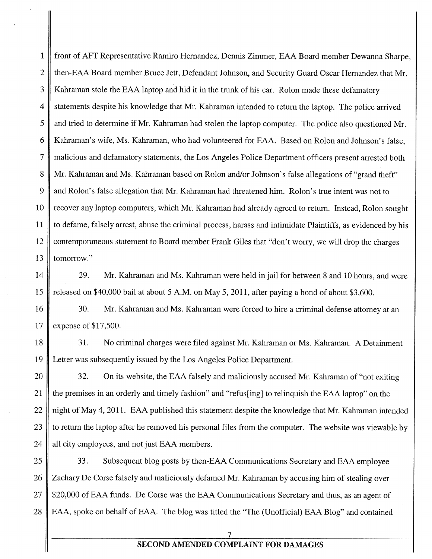<sup>1</sup> front of AFT Representative Ramiro Hernandez, Dennis Zimmer, EAA Board member Dewanna Sharpe, 2 then-EAA Board member Bruce Jett, Defendant Johnson, and Security Guard Oscar Hernandez that Mr. 3 Kahraman stole the EAA laptop and hid it in the trunk of his car. Rolon made these defamatory 4 statements despite his knowledge that Mr. Kahraman intended to return the laptop. The police arrived 5  $\parallel$  and tried to determine if Mr. Kahraman had stolen the laptop computer. The police also questioned Mr. 6 Kahraman's wife, Ms. Kahraman, who had volunteered for EAA. Based on Rolon and Johnson's false, 7 malicious and defamatory statements, the Los Angeles Police Department officers present arrested both 8 Mr. Kahraman and Ms. Kahraman based on Rolon and/or Johnson's false allegations of "grand theft" 9 and Rolon's false allegation that Mr. Kahraman had threatened him. Rolon's true intent was not to 10 | recover any laptop computers, which Mr. Kahraman had already agreed to return. Instead, Rolon sought 11 to defame, falsely arrest, abuse the criminal process, harass and intimidate Plaintiffs, as evidenced by his 12 contemporaneous statement to Board member Frank Giles that "don't worry, we will drop the charges 13 | tomorrow."

14 29. Mr. Kahraman and Ms. Kahraman were held in jail for between 8 and 10 hours, and were 15 released on \$40,000 bail at about <sup>5</sup> A.M. on May 5, 2011, after paying a bond of about \$3,600.

16 30. Mr. Kahraman and Ms. Kahraman were forced to hire a criminal defense attorney at an 17 expense of \$17,500.

18 31. No criminal charges were filed against Mr. Kahraman or Ms. Kahraman. A Detainment 19 Letter was subsequently issued by the Los Angeles Police Department.

20 32. On its website, the EAA falsely and maliciously accused Mr. Kahraman of "not exiting 21 the premises in an orderly and timely fashion" and "refus[ing] to relinquish the EAA laptop" on the 22 | night of May 4, 2011. EAA published this statement despite the knowledge that Mr. Kahraman intended 23  $\parallel$  to return the laptop after he removed his personal files from the computer. The website was viewable by 24  $\parallel$  all city employees, and not just EAA members.

25 33. Subsequent blog posts by then-EAA Communications Secretary and EAA employee 26 Zachary De Corse falsely and maliciously defamed Mr. Kahraman by accusing him of stealing over 27 || \$20,000 of EAA funds. De Corse was the EAA Communications Secretary and thus, as an agent of 28 EAA, spoke on behalf of EAA. The blog was titled the "The (Unofficial) EAA Blog" and contained

#### 7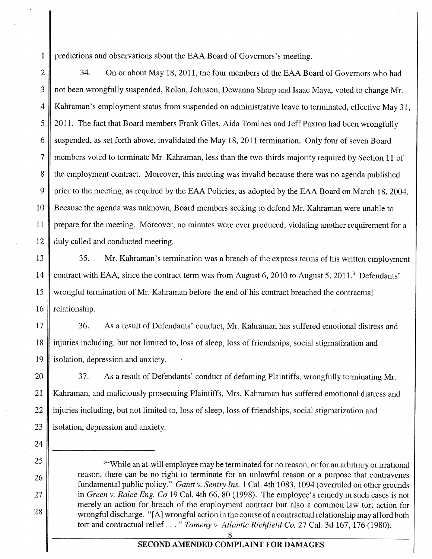1 predictions and observations about the EAA Board of Governors's meeting.

2 34. On or about May 18, 2011, the four members of the EAA Board of Governors who had 3 || not been wrongfully suspended, Rolon, Johnson, Dewanna Sharp and Isaac Maya, voted to change Mr. 4 Kahraman's employment status from suspended on administrative leave to terminated, effective May 31, <sup>5</sup> 2011. The fact that Board members Frank Giles, Aida Tomines and Jeff Paxton had been wrongfully 6 Suspended, as set forth above, invalidated the May 18, 2011 termination. Only four of seven Board 7 members voted to terminate Mr. Kahraman, less than the two-thirds majority required by Section <sup>11</sup> of 8 the employment contract. Moreover, this meeting was invalid because there was no agenda published 9 prior to the meeting, as required by the EAA Policies, as adopted by the EAA Board on March 18, 2004. 10 Because the agenda was unknown, Board members seeking to defend Mr. Kahraman were unable to 11 | prepare for the meeting. Moreover, no minutes were ever produced, violating another requirement for a 12 duly called and conducted meeting.

13 35. Mr. Kahraman's termination was a breach of the express terms of his written employment 14 contract with EAA, since the contract term was from August 6, 2010 to August 5, 2011.<sup>3</sup> Defendants' 15 wrongful termination of Mr. Kahraman before the end of his contract breached the contractual  $16$  relationship.

17 36. As a result of Defendants' conduct, Mr. Kahraman has suffered emotional distress and 18 injuries including, but not limited to, loss of sleep, loss of friendships, social stigmatization and 19 isolation, depression and anxiety.

20  $\parallel$  37. As a result of Defendants' conduct of defaming Plaintiffs, wrongfully terminating Mr. 21 Kahraman, and maliciously prosecuting Plaintiffs, Mrs. Kahraman has suffered emotional distress and  $22 \parallel$  injuries including, but not limited to, loss of sleep, loss of friendships, social stigmatization and 23  $\parallel$  isolation, depression and anxiety.

24

1923 1801ation, depression and anxiety.<br>
25 <sup>3"</sup>While an at-will employee may be terminated for no reason, or for an arbitrary or irrational<br>
26 reason, there can be no right to terminate for an unlawful reason or a purpos fundamental public policy." *Gantt v. Sentry Ins.* 1 Cal. 4th 1083, 1094 (overruled on other grounds 27 in Green v. Ralee Eng. Co 19 Cal. 4th 66, 80 (1998). The employee's remedy in such cases is not merely an action for breach of the employment contract but also a common law tort action for 28 wrongful discharge. "[A] wrongful action in the course of a contractual relationship may afford both tort and contractual relief..." Tameny v. Atlantic Richfield Co. 27 Cal. 3d 167, 176 (1980).

<u>୪</u>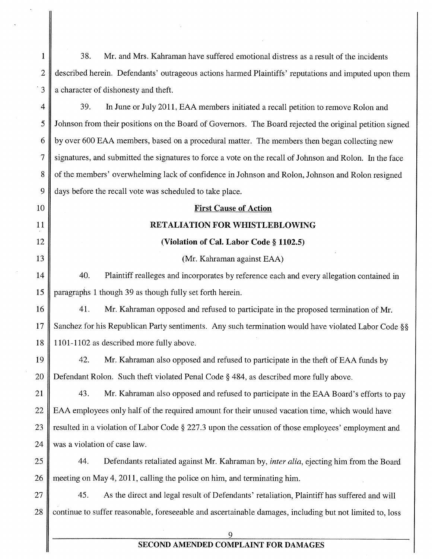| $\mathbf 1$    | 38.<br>Mr. and Mrs. Kahraman have suffered emotional distress as a result of the incidents               |
|----------------|----------------------------------------------------------------------------------------------------------|
| $\overline{c}$ | described herein. Defendants' outrageous actions harmed Plaintiffs' reputations and imputed upon them    |
| $\cdot$ 3      | a character of dishonesty and theft.                                                                     |
| 4              | 39.<br>In June or July 2011, EAA members initiated a recall petition to remove Rolon and                 |
| 5              | Johnson from their positions on the Board of Governors. The Board rejected the original petition signed  |
| 6              | by over 600 EAA members, based on a procedural matter. The members then began collecting new             |
| $\tau$         | signatures, and submitted the signatures to force a vote on the recall of Johnson and Rolon. In the face |
| 8              | of the members' overwhelming lack of confidence in Johnson and Rolon, Johnson and Rolon resigned         |
| 9              | days before the recall vote was scheduled to take place.                                                 |
| 10             | <b>First Cause of Action</b>                                                                             |
| 11             | <b>RETALIATION FOR WHISTLEBLOWING</b>                                                                    |
| 12             | (Violation of Cal. Labor Code § 1102.5)                                                                  |
| 13             | (Mr. Kahraman against EAA)                                                                               |
| 14             | 40.<br>Plaintiff realleges and incorporates by reference each and every allegation contained in          |
| 15             | paragraphs 1 though 39 as though fully set forth herein.                                                 |
| 16             | 41.<br>Mr. Kahraman opposed and refused to participate in the proposed termination of Mr.                |
| 17             | Sanchez for his Republican Party sentiments. Any such termination would have violated Labor Code §§      |
| 18             | 1101-1102 as described more fully above.                                                                 |
| 19             | 42.<br>Mr. Kahraman also opposed and refused to participate in the theft of EAA funds by                 |
| 20             | Defendant Rolon. Such theft violated Penal Code § 484, as described more fully above.                    |
| 21             | 43.<br>Mr. Kahraman also opposed and refused to participate in the EAA Board's efforts to pay            |
| 22             | EAA employees only half of the required amount for their unused vacation time, which would have          |
| 23             | resulted in a violation of Labor Code § 227.3 upon the cessation of those employees' employment and      |
| 24             | was a violation of case law.                                                                             |
| 25             | 44.<br>Defendants retaliated against Mr. Kahraman by, <i>inter alia</i> , ejecting him from the Board    |
| 26             | meeting on May 4, 2011, calling the police on him, and terminating him.                                  |
| 27             | 45.<br>As the direct and legal result of Defendants' retaliation, Plaintiff has suffered and will        |
| 28             | continue to suffer reasonable, foreseeable and ascertainable damages, including but not limited to, loss |
|                | 9                                                                                                        |

 $\mathbf{I}$ 

∥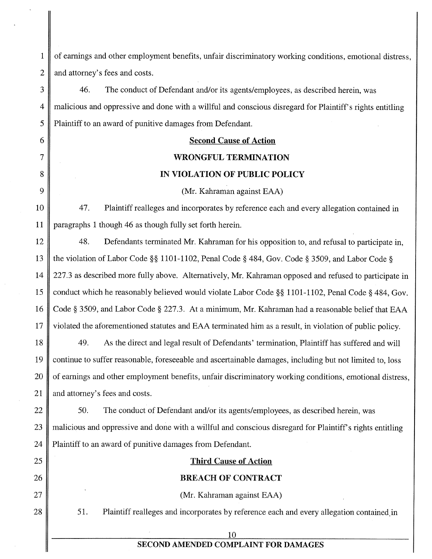1 of earnings and other employment benefits, unfair discriminatory working conditions, emotional distress, 2 || and attorney's fees and costs. 3 46. The conduct of Defendant and/or its agents/employees, as described herein, was 4 || malicious and oppressive and done with a willful and conscious disregard for Plaintiff's rights entitling 5 Plaintiff to an award of punitive damages from Defendant. 6 Second Cause of Action 7 WRONGFUL TER&IINATION 8 || IN VIOLATION OF PUBLIC POLICY 9 (Mr. Kahraman against EAA) 10 47. Plaintiff realleges and incorporates by reference each and every allegation contained in 11 paragraphs <sup>1</sup> though 46 as though fully set forth herein. 12 48. Defendants terminated Mr. Kahraman for his opposition to, and refusal to participate in, <sup>13</sup> the violation of Labor Code § 1101-1102, Penal Code § 484, Gov. Code § 3509, and Labor Code § 14 227.3 as described more fully above. Alternatively, Mr. Kahraman opposed and refused to participate in 15 conduct which he reasonably believed would violate Labor Code § 1101-1102, Penal Code § 484, Gov. 16 Code § 3509, and Labor Code § 227.3. At a minimum, Mr. Kahraman had a reasonable belief that EAA 17 violated the aforementioned statutes and EAA terminated him as a result, in violation of public policy. 18 49. As the direct and legal result of Defendants' termination, Plaintiff has suffered and will

19 continue to suffer reasonable, foreseeable and ascertainable damages, including but not limited to, loss 20 | of earnings and other employment benefits, unfair discriminatory working conditions, emotional distress, 21 || and attorney's fees and costs.

22 | 50. The conduct of Defendant and/or its agents/employees, as described herein, was 23 malicious and oppressive and done with a willful and conscious disregard for Plaintiff's rights entitling 24 Plaintiff to an award of punitive damages from Defendant.

# 25 || **Third Cause of Action**

### 26 BREACH OF CONTRACT

27 (Mr. Kahraman against EAA)

28  $\parallel$  51. Plaintiff realleges and incorporates by reference each and every allegation contained in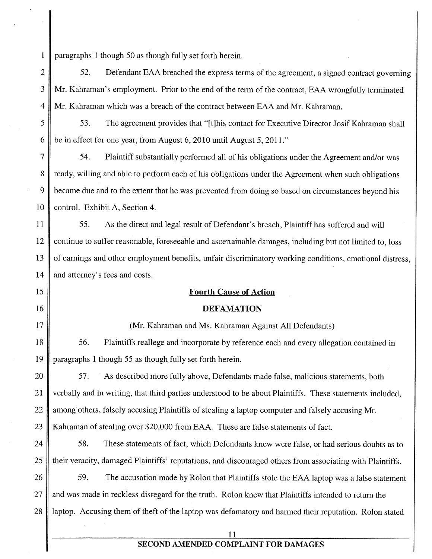<sup>1</sup> paragraphs <sup>1</sup> though 50 as though fully set forth herein.

2  $\parallel$  52. Defendant EAA breached the express terms of the agreement, a signed contract governing 3 Mr. Kahraman's employment. Prior to the end of the term of the contract, EAA wrongfully terminated 4 Mr. Kahraman which was a breach of the contract between EAA and Mr. Kahraman.

<sup>5</sup> 53. The agreement provides that "[t]his contact for Executive Director Josif Kahraman shall 6  $\parallel$  be in effect for one year, from August 6, 2010 until August 5, 2011."

7 54. Plaintiff substantially performed all of his obligations under the Agreement and/or was 8 cady, willing and able to perform each of his obligations under the Agreement when such obligations 9 became due and to the extent that he was prevented from doing so based on circumstances beyond his 10 control. Exhibit A, Section 4.

11 | 55. As the direct and legal result of Defendant's breach, Plaintiff has suffered and will 12 continue to suffer reasonable, foreseeable and ascertainable damages, including but not limited to, loss 13 | of earnings and other employment benefits, unfair discriminatory working conditions, emotional distress, 14 and attorney's fees and costs.

#### 15 || **Fourth Cause of Action**

#### 16 DEFAMATION

17 (Mr. Kahraman and Ms. Kahraman Against All Defendants) 18 56. Plaintiffs reallege and incorporate by reference each and every allegation contained in

19 paragraphs <sup>1</sup> though 55 as though fully set forth herein.

20 | 57. As described more fully above, Defendants made false, malicious statements, both 21 | verbally and in writing, that third parties understood to be about Plaintiffs. These statements included, 22 among others, falsely accusing Plaintiffs of stealing a laptop computer and falsely accusing Mr. 23 Kahraman of stealing over \$20,000 from EAA. These are false statements of fact.

24  $\parallel$  58. These statements of fact, which Defendants knew were false, or had serious doubts as to 25 I their veracity, damaged Plaintiffs' reputations, and discouraged others from associating with Plaintiffs.

26  $\parallel$  59. The accusation made by Rolon that Plaintiffs stole the EAA laptop was a false statement 27 || and was made in reckless disregard for the truth. Rolon knew that Plaintiffs intended to return the 28 | laptop. Accusing them of theft of the laptop was defamatory and harmed their reputation. Rolon stated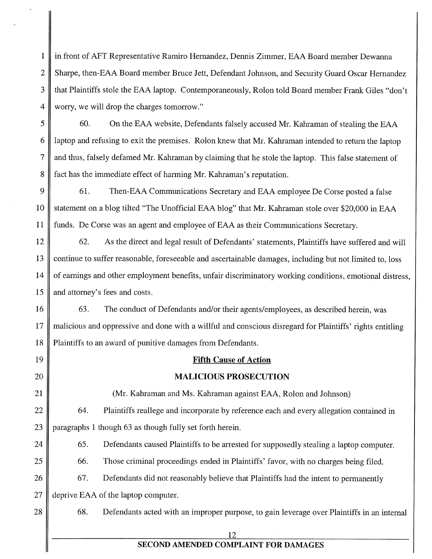<sup>1</sup> in front of AFT Representative Ramiro Hernandez, Dennis Zimmer, EAA Board member Dewanna 2 Sharpe, then-EAA Board member Bruce Jett, Defendant Johnson, and Security Guard Oscar Hernandez 3 that Plaintiffs stole the EAA laptop. Contemporaneously, Rolon told Board member Frank Giles "don't" 4 worry, we will drop the charges tomorrow."

5 60. On the EAA website, Defendants falsely accused Mr. Kahraman of stealing the EAA  $6 \parallel$  laptop and refusing to exit the premises. Rolon knew that Mr. Kahraman intended to return the laptop 7 and thus, falsely defamed Mr. Kahraman by claiming that he stole the laptop. This false statement of 8 fact has the immediate effect of harming Mr. Kahraman's reputation.

9 61. Then-EAA Communications Secretary and EAA employee De Corse posted a false 10 Statement on a blog tilted "The Unofficial EAA blog" that Mr. Kahraman stole over \$20,000 in EAA 11 | funds. De Corse was an agent and employee of EAA as their Communications Secretary.

12 62. As the direct and legal result of Defendants' statements, Plaintiffs have suffered and will 13 || continue to suffer reasonable, foreseeable and ascertainable damages, including but not limited to, loss 14 of earnings and other employment benefits, unfair discriminatory working conditions, emotional distress, 15 and attorney's fees and costs.

16 63. The conduct of Defendants and/or their agents/employees, as described herein, was 17 malicious and oppressive and done with a willful and conscious disregard for Plaintiffs' rights entitling 18 Plaintiffs to an award of punitive damages from Defendants.

19 Fifth Cause of Action

20 || **MALICIOUS PROSECUTION** 

21 (Mr. Kahraman and Ms. Kahraman against EAA, Rolon and Johnson)

22 | 64. Plaintiffs reallege and incorporate by reference each and every allegation contained in 23 paragraphs 1 though 63 as though fully set forth herein.

24 65. Defendants caused Plaintiffs to be arrested for supposedly stealing a laptop computer.

25 **66.** Those criminal proceedings ended in Plaintiffs' favor, with no charges being filed.

26 67. Defendants did not reasonably believe that Plaintiffs had the intent to permanently 27 deprive EAA of the laptop computer.

28 68. Defendants acted with an improper purpose, to gain leverage over Plaintiffs in an internal

<u>12</u>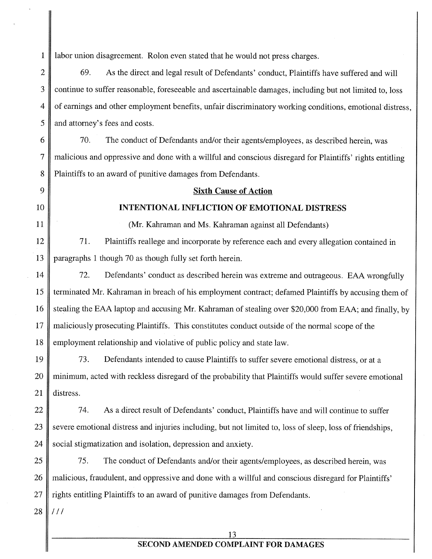<sup>1</sup> labor union disagreement. Rolon even stated that he would not press charges.

2 69. As the direct and legal result of Defendants' conduct, Plaintiffs have suffered and will 3 continue to suffer reasonable, foreseeable and ascertainable damages, including but not limited to, loss 4 of earnings and other employment benefits, unfair discriminatory working conditions, emotional distress, 5 || and attorney's fees and costs.

6  $\parallel$  70. The conduct of Defendants and/or their agents/employees, as described herein, was 7 malicious and oppressive and done with a willful and conscious disregard for Plaintiffs' rights entitling 8 Plaintiffs to an award of punitive damages from Defendants.

### 9 Sixth Cause of Action

#### 10 || INTENTIONAL INFLICTION OF EMOTIONAL DISTRESS

11 (Mr. Kahraman and Ms. Kahraman against all Defendants)

12 71. Plaintiffs reallege and incorporate by reference each and every allegation contained in 13 paragraphs <sup>1</sup> though 70 as though fully set forth herein.

14 72. Defendants' conduct as described herein was extreme and outrageous. EAA wrongfully 15 I terminated Mr. Kahraman in breach of his employment contract; defamed Plaintiffs by accusing them of 16 Stealing the EAA laptop and accusing Mr. Kahraman of stealing over \$20,000 from EAA; and finally, by 17 maliciously prosecuting Plaintiffs. This constitutes conduct outside of the normal scope of the 18 employment relationship and violative of public policy and state law.

19 73. Defendants intended to cause Plaintiffs to suffer severe emotional distress, or at a 20 minimum, acted with reckless disregard of the probability that Plaintiffs would suffer severe emotional 21 distress.

22 | 74. As a direct result of Defendants' conduct, Plaintiffs have and will continue to suffer 23 Severe emotional distress and injuries including, but not limited to, loss of sleep, loss of friendships, 24  $\parallel$  social stigmatization and isolation, depression and anxiety.

25 75. The conduct of Defendants and/or their agents/employees, as described herein, was 26 || malicious, fraudulent, and oppressive and done with a willful and conscious disregard for Plaintiffs' 27  $\parallel$  rights entitling Plaintiffs to an award of punitive damages from Defendants.

 $28$  |  $111$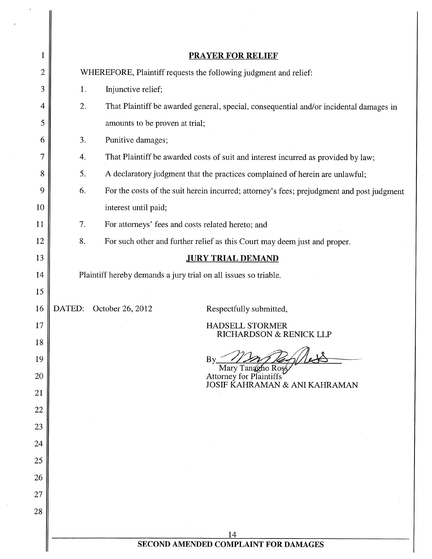| 1              |                                                                 | <b>PRAYER FOR RELIEF</b>                                                                  |  |  |  |
|----------------|-----------------------------------------------------------------|-------------------------------------------------------------------------------------------|--|--|--|
| $\overline{2}$ |                                                                 | WHEREFORE, Plaintiff requests the following judgment and relief:                          |  |  |  |
| 3              | 1.                                                              | Injunctive relief;                                                                        |  |  |  |
| 4              | 2.                                                              | That Plaintiff be awarded general, special, consequential and/or incidental damages in    |  |  |  |
| 5              |                                                                 | amounts to be proven at trial;                                                            |  |  |  |
| 6              | 3.                                                              | Punitive damages;                                                                         |  |  |  |
| 7              | 4.                                                              | That Plaintiff be awarded costs of suit and interest incurred as provided by law;         |  |  |  |
| 8              | 5.                                                              | A declaratory judgment that the practices complained of herein are unlawful;              |  |  |  |
| 9              | 6.                                                              | For the costs of the suit herein incurred; attorney's fees; prejudgment and post judgment |  |  |  |
| 10             |                                                                 | interest until paid;                                                                      |  |  |  |
| 11             | 7.                                                              | For attorneys' fees and costs related hereto; and                                         |  |  |  |
| 12             | 8.                                                              | For such other and further relief as this Court may deem just and proper.                 |  |  |  |
| 13             |                                                                 | <b>JURY TRIAL DEMAND</b>                                                                  |  |  |  |
| 14             | Plaintiff hereby demands a jury trial on all issues so triable. |                                                                                           |  |  |  |
| 15             |                                                                 |                                                                                           |  |  |  |
| 16             | DATED:                                                          | October 26, 2012<br>Respectfully submitted,                                               |  |  |  |
| 17             |                                                                 | <b>HADSELL STORMER</b><br>RICHARDSON & RENICK LLP                                         |  |  |  |
| 18             |                                                                 |                                                                                           |  |  |  |
| 19<br>20       |                                                                 | $\mathbf{B} \mathbf{y}$<br>Mary Tanagho Ross<br><b>Attorney for Plaintiffs</b>            |  |  |  |
| 21             |                                                                 | JOSIF KAHRAMAN & ANI KAHRAMAN                                                             |  |  |  |
| 22             |                                                                 |                                                                                           |  |  |  |
| 23             |                                                                 |                                                                                           |  |  |  |
| 24             |                                                                 |                                                                                           |  |  |  |
| 25             |                                                                 |                                                                                           |  |  |  |
| 26             |                                                                 |                                                                                           |  |  |  |
| 27             |                                                                 |                                                                                           |  |  |  |
| 28             |                                                                 |                                                                                           |  |  |  |
|                |                                                                 |                                                                                           |  |  |  |
|                | 14<br>SECOND AMENDED COMPLAINT FOR DAMAGES                      |                                                                                           |  |  |  |
|                |                                                                 |                                                                                           |  |  |  |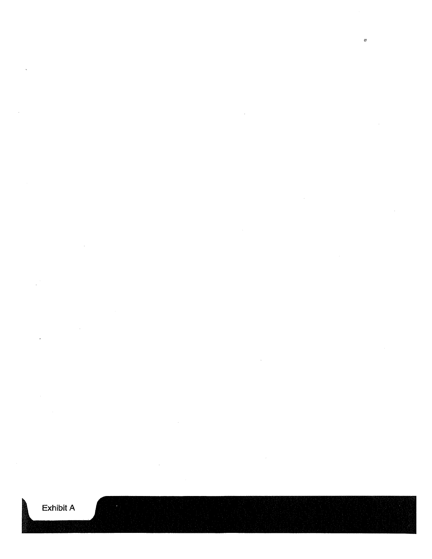$\ddot{\phantom{a}}$ 

Exhibit A

 $\mathbb{Q}^k$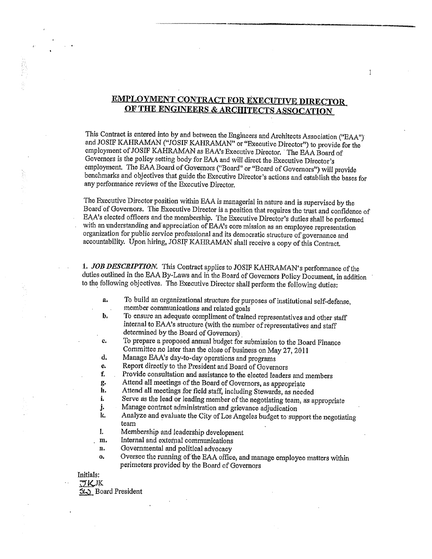# EMPLOYMENT CONTRACT FOR EXECUTIVE DIRECTOR OF THE ENGINEERS & ARCHITECTS ASSOCATION

1

This Contract is entered into by and between the Engineers and Architects Association ("BAA") and JOSIF KAHRAMAN ("JOSIF KAHRAMAN" or "Executive Director") to provide for the employment of JOSIF KAHRAMAN as EAA's Executive Director. The EAA Board of Governors is the policy setting body for BAA and will direct the Executive Director's employment, The BAA Board of Governors ("Board" or "Board of Governors") will provide benchmarks and objectives that guide the Executive Director's actions and establish the bases for any performance reviews of the Executive Director.

The Executive Director position within BAA is managerial in nature and is supervised by the Board of Governors. The Executive Director is a position that requires the trust and confidence of BAA'S elected officers and the membership. The Executive Director's duties shall be performed with an understanding and appreciation of EAA's core mission as an employee representation organization for public service professional and its democratic structure of governance and accountability. Upon hiring, JOSIF KAHRAMAN shall receive a copy of this Contract.

1. JOB DESCRIPTION. This Contract applies to JOSIF KAHRAMAN's performance of the duties outlined in the EAA By-Laws and in the Board of Governors Policy Document, in addition to the following objectives. The Executive Director shall perform the following duties;

- a. To build an organizational structure for purposes of institutional self-defense, member communications and related goals
- b. To ensure an adequate compliment of trained representatives and other staff internal to BAA's structure (with the number ofrepresentatives and staff determined by the Board of Governors)
- e. To prepare <sup>a</sup> proposed annual budget for submission to the Board Finance Committee no later than the close of business on May 27, <sup>2011</sup>
- d. Manage EAA's day-to-day operations and programs<br>e. Report directly to the President and Board of Govern
- e. Report directly to the President and Board of Governors<br>f. Provide consultation and assistance to the elected leader
- Provide consultation and assistance to the elected leaders and members
- g. Attend all meetings of the Board of Governors, as appropriate<br>h. Attend all meetings for field staff including Stewards, as need
- h. Attend all meetings for field staff, including Stewards, as needed<br>i. Serve as the lead or leading member of the negotiating team as a
- i. Serve as the lead or leading member of the negotiating team, as appropriate j. Manage contract administration and grievance adjudication
- j. Manage contract administration and grievance adjudication<br>k. Analyze and evaluate the City of Los Angeles budget to sup
- Analyze and evaluate the City of Los Angeles budget to support the negotiating team
- I. Membership and leadership development
- m. Internal and external communications
- n. Governmental and political advocacy
- o. Oversee the running of the BAA office, and manage employee matters within perimeters provided by the Board of Governors

Initials:

 $\frac{\partial K}{\partial \phi}$  Board President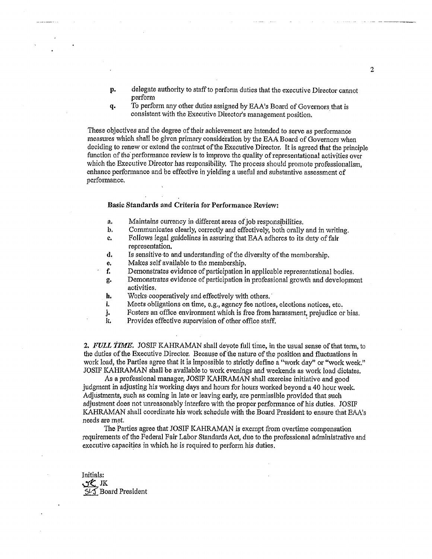- p. delegate authority to staffto perform duties that the executive Director cannot perform
- q. To perform any other duties assigned by BAA's Board of Governors that is consistent with the Executive Director's management position.

These objectives and the degree of their achievement are intended to serve as performance measures which shall be given primary consideration by the EAA Board of Governors when deciding to renew or extend the contract of the Executive Director. It is agreed that the principle function of the performance review is to improve the quality of representational activities over which the Executive Director has responsibility. The process should promote professionalism, enhance performance and be effective in yielding a useful and substantive assessment of performance.

#### Basic Standards and Criteria for Performance Review:

- a. Maintains currency in different areas of job responsibilities.
- b. Communicates clearly, correctly and effectively, both orally and in writing.
- c, Follows legal guidelines in assuring that BAA adheres to its duty offair representation.
- d. Is sensitive to and understanding of the diversity of the membership.
- e. Makes self available to the membership.
- f. Demonstrates evidence of participation in applicable representational bodies.
- g. Demonstrates evidence of participation in professional growth and development activities.
- h. Works cooperatively and effectively with others.
- i. Meets obligations on time, e.g., agency fee notices, elections notices, etc.
- j. Fosters an office environment which is free from harassment, prejudice or bias.
- Provides effective supervision of other office staff.

2. FULL TIME. JOSIF KAHRAMAN shall devote full time, in the usual sense of that term, to the duties of the Executive Director. Because of the nature of the position and fluctuations in work load, the Parties agree that it is impossible to strictly define a "work day" or "work week." JOSIF KAHRAMAN shall be available to work evenings and weekends as work load dictates,

As a professional manager, JOSIF KAIIRAMAN shall exorcise initiative and good judgment in adjustiqg his working days and hours for hours worked beyond a 40 hour week. Adjustments, such as coming in late or leaving early, are permissible provided that such adjustment does not unreasonably interfere with the proper performance of his duties. JOSIF KAHRAMAN shall coordinate his work schedule with the Board President to ensure that BAA's needs are met,

The Parties agree that JOSIF KAHRAMAN is exempt from overtime compensation requirements ofthe Federal Fair Labor Standards Act, due to the professional administrative and executive capacities in which he is required to perform his duties.

Initials: nc Board President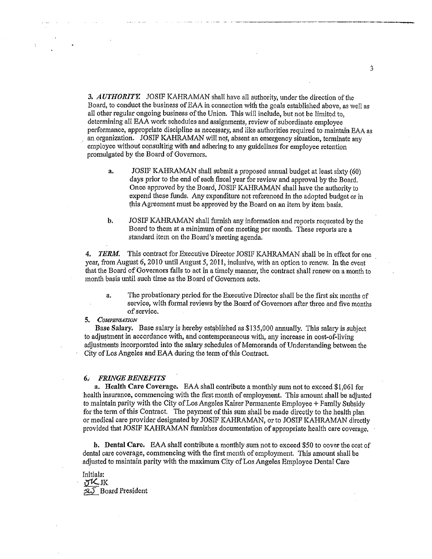3. AUTHORITY. JOSIF KAHRAMAN shall have all authority, under the direction of the Board, to conduct the business of EAA in connection with the goals established above, as well as all other regular ongoing business of the Union. This will include, but not be limited to, determining all EAA work schedules and assignments, review of subordinate employee performance, appropriate discipline as necessary) and like authorities required to maintain BAA as an organization. JOSIF KAHRAMAN will not, absent an emergency situation, terminate any employee without consulting with and adhering to any guidelines for employee retention promulgated by the Board of Governors.

- a. JOSIF KAHRAMAN shall submit a proposed annual budget at least sixty (60) days prior to the end of each fiscal year for review and approval by the Board. Once approved by the Board, JOSIF KAHlAMAN shall have the authority to expend these funds. Any expenditure not referenced in the adopted budget or in this Agreement must be approved by the Board on an item by item basis.
- b. JOSIP KAHRAMAN shall furnish any information and reports requested by the Board to them at a minimum of one meeting per month. These reports are <sup>a</sup> standard item on the Board's meeting agenda.

4. TERM. This contract for Executive Director JOSIF KAHRAMAN shall be in effect for one year, from August 6, 2010 until August 5, 2011, inclusive, with an option to renew. In the event that the Board of Governors fails to act in a timely manner, the contract shall renew on a month to month basis until such time as the Board of Governors acts.

a. The probationary period for the Executive Director shall be the first six months of service, with formal reviews by the Board of Governors after three and five months of service.

#### 5. COMPENSATION

Base Salary. Base salary is hereby established as \$135,000 annually. This salary is subject to adjustment in accordance with, and contemporaneous with, any increase in cost-of-living adjustments incorporated into the salary schedules of Memoranda of Understanding between the City of Los Angeles and EAA during the term of this Contract.

#### **6. FRINGE BENEFITS**

a. Health Care Coverage. BAA shall contribute a monthly sum not to exceed \$1,061 for health insurance, commencing with the first month of employment. This amount shall be adjusted to maintain parity with the City of Los Angeles Kaiser Permanente Employee + Family Subsidy for the term of this Contract. The payment of this sum shall be made directly to the health plan or medical care provider designated by JOSIF KAHRAMAN, or to JOSIF KAHRAMAN directly provided that JOSIF KAHRAMAN furnishes documentation of appropriate health care coverage.

b. Dental Care. BAA shall contribute a monthlysuni not to exceed \$50 to cover the cost of dental care coverage, commencing with the first month of employment. This amount shall be adjusted to maintain parity with the maximum City of Los Angeles Employee Dental Care

Initials: rt CJK 51.5 Board President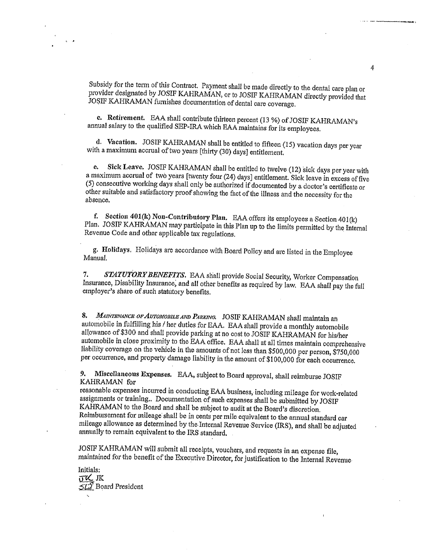Subsidy for the term of this Contract. Payment shall be made directly to the dental care plan or provider designated by JOSIF KAHRAMAN, or to JOSIF KAHRAMAN directly provided that JOSIF KAHRAMAN furnishes documentation of

c. Retirement. BAA shall contribute thirteen percent (13 %) of JOSIF KAHRAMAN's annual salary to the qualified SEP-IRA which BAA maintains for its employees.

d. Vacation. JOSIF KAHRAMAN shall be entitled to fifteen (15) vacation days per year with <sup>a</sup> maximum accrual oftwo years [thirty (30) days) entitlement,

e. Sick Leave. JOSIF KAHRAMAN shall be entitled to twelve (12) sick days per year with a maximum accrual of two years [twenty four (24) days] entitlement. Sick leave in excess of five (5) consecutive working days shall only be authorized if documented by a doctor's certificate or other suitable and satisfactory proof showing the fact of the illness and the necessity for the absence.

f. Section  $401(k)$  Non-Contributory Plan. EAA offers its employees a Section  $401(k)$ Plan. JOSIF KAHRAMAN may participate in this Plan up to the limits permitted by the Internal Revenue Code and other applicable tax regulations.

g. Holidays. Holidays are accordance with Board Policy and are listed in the Employee Manual.

7. STATUTORY BENEFITS. EAA shall provide Social Security, Worker Compensation Insurance, Disability Insurance, and all other benefits as required by law. BAA shall pay the full employer's share of such statutory benefits.

8. MAINTENANCE OF AUTOMOBILE AND PARKING. JOSIF KAHRAMAN shall maintain an automobile in fulfilling his / her duties for BAA. BAA shall provide <sup>a</sup> monthly automobile allowance of \$300 and shall provide parking at no cost to JOSIF KAHRAMAN for his/her automobile in close proximity to the BAA office. BAA shall at all times maintain comprehensive liability coverage on the vehicle in the amounts of not less than \$500,000 per person, \$750,000 per occurrence, and property damage liability in the amount of \$100,000 for each occurrence.

9. MIscellaneous Expenses. BAA, subject to Board approval, shall reimburse JOSIF KAHRAMAN for

reasonable expenses incurred in conducting BAA business, including mileage for work-related assignments or training.. Documentation of such expenses shall be submitted by JOSIF KAHRAMAN to the Board and shall be subject to audit at the Board's discretion. Reimbursement for mileage: shall be in cents per mile equivalent to the annual standard ear mileage allowance as determined by the Internal Revenue Service (IRS), and shall be adjusted annually to remain equivalent to the IRS standard,

JOSIF KAHRAMAN will submit all receipts, vouchers, and requests in an expense file, maintained for the benefit of the Executive Director, for justification to the Internal Revenue

Initials:  $\sigma$ <sub>K</sub> 512 Board President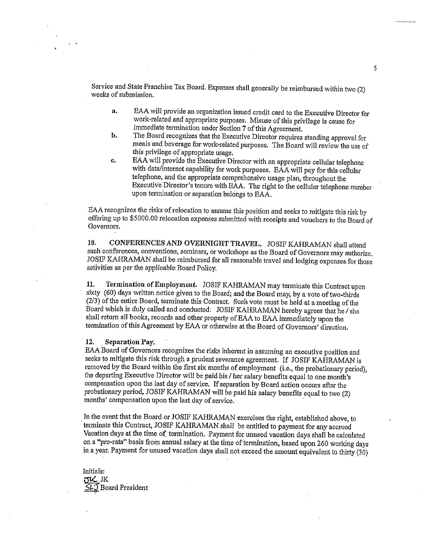Service and State Franchise Tax Board. Expenses shall generally be reimbursed within two (2) weeks of submission.

- a. BAA will provide an organization issued credit card to the Executive Director for work-related and appropriate purposes. Misuse of this privilege is cause for immediate termination under Section 7 of this Agreement.
- b. The Board recognizes that the Executive Director requires standing approval for meals and beverage for work-related purposes. The Board will review the use of this privilege of appropriate usage,
- c. BAA will provide the Executive Director with an appropriate cellular telephone with data/internet capability for work purposes. BAA will pay for this cellular telephone, and the appropriate comprehensive usage <sup>p</sup>lan, throughout the Executive Direetor's tenure with BAA. The right to the cellular telephone number upon termination or separation belongs to BAA.

EAA recognizes the risks of relocation to assume this position and seeks to mitigate this risk by offering up to \$5000.00 relocation expenses submitted with receipts and vouchers to the Board of Governors.

10. CONFERENCES AND OVERNIGHT TRAVEL. JOSIF KAHRAMAN shall attend such conferences, conventions, seminars, or workshops as the Board of Governors may authorize, JOSIF KAHRAMAN shall be reimbursed for all reasonable travel and lodging expenses. for those activities as per the applicable Board Policy.

11. Termination of Employment. JOSIF KAHRAMAN may terminate this Contract upon sixty (60) days written notice <sup>g</sup>iven to the Board; and the Board may, by <sup>a</sup> vote of two-thirds  $(2/3)$  of the entire Board, terminate this Contract. Such vote must be held at a meeting of the Board which is duly called and conducted; JOSIF KAHRAMAN hereby agrees that he / she shall return all books, records and other property of BAA to BAA immediately upon the termination of this Agreement by EAA or otherwise at the Board of Governors' direction.

#### 12, Separation Pay.

BAA Board of Governors recognizes the risks inherent in assuming an executive position and seeks to mitigate this risk through <sup>a</sup> prudent severance agreement. If JOSIF KAFIRAMAN is removed by the Board within the first six months of employment (i.e., the probationary period), the departing Executive Director will be paid his / her salary benefits equal to one month's compensation upon the last day of service. If separation by Board action occurs after the probationary period, JOSIF KAHRAMAN will be paid his salary benefits equal to two (2) months' compensation upon the last day of service.

In the event that the Board or JOSIF KAHRAMAN exercises the right, established above, to terminate this Contract, JOSIF KAFIRAMAN shall be entitled to payment for any accrued Vacation days at the time of termination. Payment for unused vacation days shall be calculated on a "pro-rata" basis from annual salary at the time of termination, based upon 260 working days in <sup>a</sup> yean Payment for unused vacation days shall not exceed the amount equivalent to thirty (30)

Initials: JK JK Board President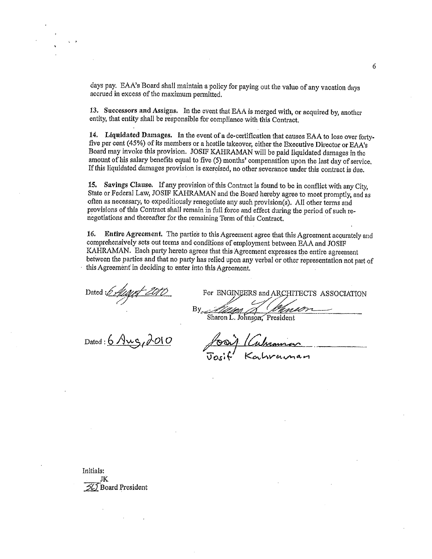days pay. BAA's Board shall maintain <sup>a</sup> policy for paying out the value of any vacation days accrued in excess of the maximum permitted.

13. Successors and Assigns. In the event that BAA is merged with, or acquired by, another entity, that entity shall be responsible for compliance with this Contract.

14. Liqnldated Damages, In the event of <sup>a</sup> de-certification that causes BAA to lose over fortyfive per cent (45%) of its members or <sup>a</sup> hostile takeover, either the Executive Director or BAA's Board may invoke this provision. JOSIF KAHRAMAN will be paid liquidated damages in the amount of his salary benefits equal to five (5) months' compensation upon the last day of service. If this liquidated damages provision is exercised, no other severance under this contract is due.

15. Savings Clause. If any provision of this Contract is found to be in conflict with any City, State or Federal Law, JOSIF KAHRAMAN and the Board hereby agree to meet promptly, and as often as necessary, to expeditiously renegotiate any such provision(s). All other terms and provisions of this Contract shall remain in full force and effect during the period of such renegotiations and thereafter for the remaining Term of this Contract.

16. Entire Agreement. The parties to this Agreement agree that this Agreement accurately and comprehensively sets out terms and conditions of employment between BAA and JOSIF KAHRAMAN. Bach party hereto agrees that this Agreement expresses the entire agreement between the parties and that no party has relied upon any verbal or other representation not part of this Agreement in deciding to enter into this Agreement.

Dated  $\frac{1}{\sqrt{10}}$  For ENGINEERS and ARCHITECTS ASSOCIATION Sharon L. Johnson, President

Dated:  $6$  Aug,  $600$ 

Initials: JK  $54$  Board President